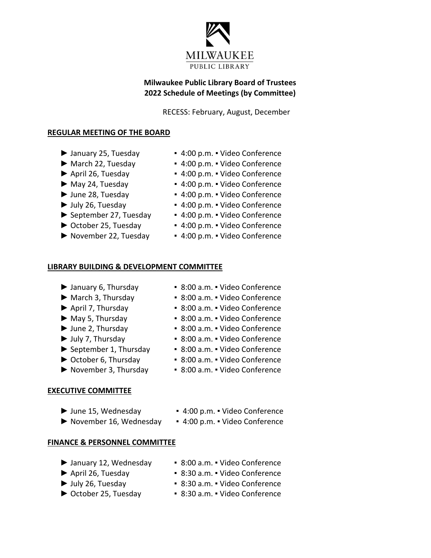

## **Milwaukee Public Library Board of Trustees 2022 Schedule of Meetings (by Committee)**

RECESS: February, August, December

#### **REGULAR MEETING OF THE BOARD**

- 
- 
- 
- 
- 
- 
- 
- 
- 
- ► January 25, Tuesday 4:00 p.m. Video Conference
- ► March 22, Tuesday ▪ 4:00 p.m. Video Conference
- ► April 26, Tuesday 4:00 p.m. Video Conference
- ► May 24, Tuesday 4:00 p.m. Video Conference
- ► June 28, Tuesday 4:00 p.m. Video Conference
- ► July 26, Tuesday 4:00 p.m. Video Conference
- ► September 27, Tuesday 4:00 p.m. Video Conference
- ► October 25, Tuesday 4:00 p.m. Video Conference
- ► November 22, Tuesday 4:00 p.m. Video Conference

#### **LIBRARY BUILDING & DEVELOPMENT COMMITTEE**

- 
- 
- 
- 
- 
- 
- 
- 
- 
- **EXECUTIVE COMMITTEE**
	-
	- ► June 15, Wednesday 4:00 p.m. Video Conference
	- ► November 16, Wednesday ▪ 4:00 p.m. Video Conference
- -

### **FINANCE & PERSONNEL COMMITTEE**

- ► January 12, Wednesday 8:00 a.m. Video Conference
- 
- ► April 26, Tuesday ▪ 8:30 a.m. Video Conference
- ► July 26, Tuesday 8:30 a.m. Video Conference
	-
- ► October 25, Tuesday 8:30 a.m. Video Conference
- ► January 6, Thursday ▪ 8:00 a.m. Video Conference ► March 3, Thursday ▪ 8:00 a.m. ▪ Video Conference
- ► April 7, Thursday 8:00 a.m. Video Conference
	-
- ► June 2, Thursday 8:00 a.m. Video Conference
	-
	-
	-
	-
- ► May 5, Thursday 8:00 a.m. Video Conference
	-
	-
	-
	-
	-
- ► July 7, Thursday 8:00 a.m. Video Conference ► September 1, Thursday ▪ 8:00 a.m. ▪ Video Conference
- ► October 6, Thursday 8:00 a.m. Video Conference
- ► November 3, Thursday 8:00 a.m. Video Conference
	-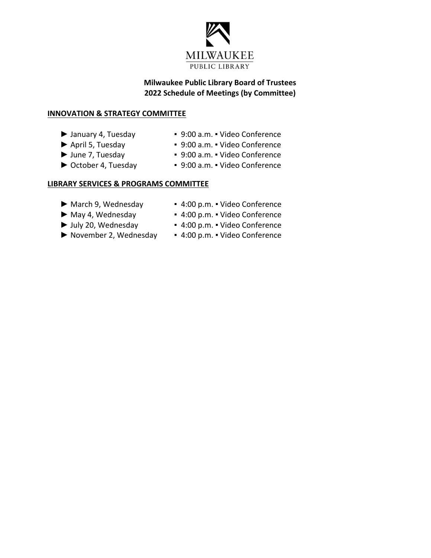

## **Milwaukee Public Library Board of Trustees 2022 Schedule of Meetings (by Committee)**

### **INNOVATION & STRATEGY COMMITTEE**

- 
- 
- 
- 
- ► January 4, Tuesday ▪ 9:00 a.m. Video Conference
- ► April 5, Tuesday ▪ 9:00 a.m. Video Conference
- ► June 7, Tuesday ▪ 9:00 a.m. Video Conference
- ► October 4, Tuesday 9:00 a.m. Video Conference

### **LIBRARY SERVICES & PROGRAMS COMMITTEE**

- -
- -
- ► March 9, Wednesday 4:00 p.m. Video Conference
- ► May 4, Wednesday ▪ 4:00 p.m. Video Conference
- ► July 20, Wednesday 4:00 p.m. Video Conference
- ► November 2, Wednesday 4:00 p.m. Video Conference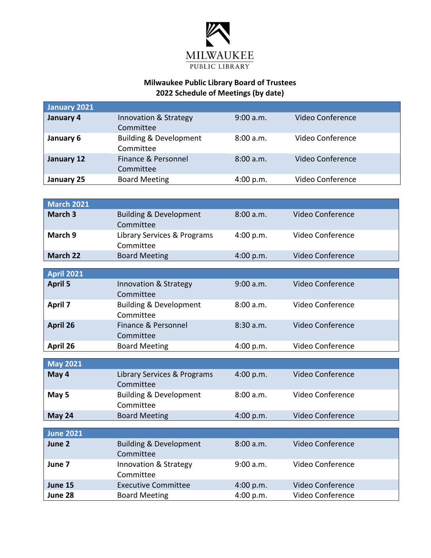

# **Milwaukee Public Library Board of Trustees 2022 Schedule of Meetings (by date)**

| <b>January 2021</b>        |                                                |           |                  |
|----------------------------|------------------------------------------------|-----------|------------------|
| January 4                  | Innovation & Strategy<br>Committee             | 9:00 a.m. | Video Conference |
| January 6                  | <b>Building &amp; Development</b><br>Committee | 8:00 a.m. | Video Conference |
| January 12                 | Finance & Personnel<br>Committee               | 8:00 a.m. | Video Conference |
| January 25                 | <b>Board Meeting</b>                           | 4:00 p.m. | Video Conference |
|                            |                                                |           |                  |
| <b>March 2021</b>          |                                                |           |                  |
| March 3                    | <b>Building &amp; Development</b><br>Committee | 8:00 a.m. | Video Conference |
| March 9                    | Library Services & Programs<br>Committee       | 4:00 p.m. | Video Conference |
| <b>March 22</b>            | <b>Board Meeting</b>                           | 4:00 p.m. | Video Conference |
| <b>April 2021</b>          |                                                |           |                  |
| <b>April 5</b>             | Innovation & Strategy<br>Committee             | 9:00 a.m. | Video Conference |
| <b>April 7</b>             | <b>Building &amp; Development</b><br>Committee | 8:00 a.m. | Video Conference |
| April 26                   | Finance & Personnel<br>Committee               | 8:30 a.m. | Video Conference |
| April 26                   | <b>Board Meeting</b>                           | 4:00 p.m. | Video Conference |
| <b>May 2021</b>            |                                                |           |                  |
| May 4                      | Library Services & Programs<br>Committee       | 4:00 p.m. | Video Conference |
| May 5                      | <b>Building &amp; Development</b><br>Committee | 8:00 a.m. | Video Conference |
| May 24                     | <b>Board Meeting</b>                           | 4:00 p.m. | Video Conference |
|                            |                                                |           |                  |
| <b>June 2021</b><br>June 2 | <b>Building &amp; Development</b>              | 8:00 a.m. | Video Conference |
|                            | Committee                                      |           |                  |
| June 7                     | Innovation & Strategy<br>Committee             | 9:00 a.m. | Video Conference |
| June 15                    | <b>Executive Committee</b>                     | 4:00 p.m. | Video Conference |
| June 28                    | <b>Board Meeting</b>                           | 4:00 p.m. | Video Conference |